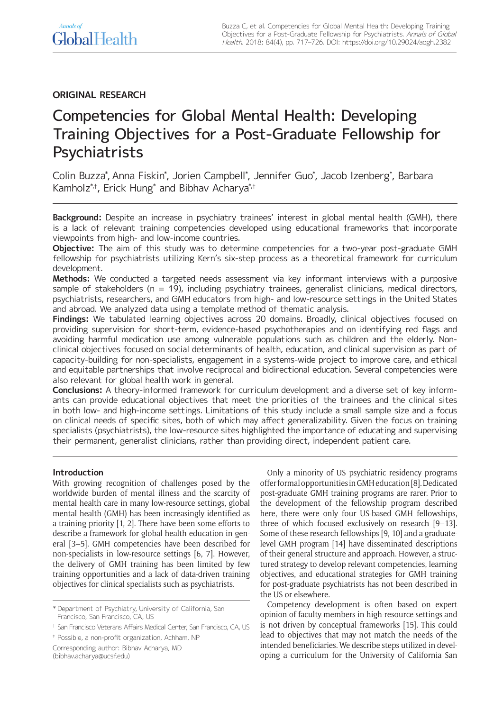# **ORIGINAL RESEARCH**

# Competencies for Global Mental Health: Developing Training Objectives for a Post-Graduate Fellowship for **Psychiatrists**

Colin Buzza\*, Anna Fiskin\*, Jorien Campbell\*, Jennifer Guo\*, Jacob Izenberg\*, Barbara Kamholz\*,†, Erick Hung\* and Bibhav Acharya\*,‡

**Background:** Despite an increase in psychiatry trainees' interest in global mental health (GMH), there is a lack of relevant training competencies developed using educational frameworks that incorporate viewpoints from high- and low-income countries.

**Objective:** The aim of this study was to determine competencies for a two-year post-graduate GMH fellowship for psychiatrists utilizing Kern's six-step process as a theoretical framework for curriculum development.

**Methods:** We conducted a targeted needs assessment via key informant interviews with a purposive sample of stakeholders ( $n = 19$ ), including psychiatry trainees, generalist clinicians, medical directors, psychiatrists, researchers, and GMH educators from high- and low-resource settings in the United States and abroad. We analyzed data using a template method of thematic analysis.

**Findings:** We tabulated learning objectives across 20 domains. Broadly, clinical objectives focused on providing supervision for short-term, evidence-based psychotherapies and on identifying red flags and avoiding harmful medication use among vulnerable populations such as children and the elderly. Nonclinical objectives focused on social determinants of health, education, and clinical supervision as part of capacity-building for non-specialists, engagement in a systems-wide project to improve care, and ethical and equitable partnerships that involve reciprocal and bidirectional education. Several competencies were also relevant for global health work in general.

**Conclusions:** A theory-informed framework for curriculum development and a diverse set of key informants can provide educational objectives that meet the priorities of the trainees and the clinical sites in both low- and high-income settings. Limitations of this study include a small sample size and a focus on clinical needs of specific sites, both of which may affect generalizability. Given the focus on training specialists (psychiatrists), the low-resource sites highlighted the importance of educating and supervising their permanent, generalist clinicians, rather than providing direct, independent patient care.

# **Introduction**

With growing recognition of challenges posed by the worldwide burden of mental illness and the scarcity of mental health care in many low-resource settings, global mental health (GMH) has been increasingly identified as a training priority [1, 2]. There have been some efforts to describe a framework for global health education in general [3–5]. GMH competencies have been described for non-specialists in low-resource settings [6, 7]. However, the delivery of GMH training has been limited by few training opportunities and a lack of data-driven training objectives for clinical specialists such as psychiatrists.

Only a minority of US psychiatric residency programs offer formal opportunities in GMH education [8]. Dedicated post-graduate GMH training programs are rarer. Prior to the development of the fellowship program described here, there were only four US-based GMH fellowships, three of which focused exclusively on research [9–13]. Some of these research fellowships [9, 10] and a graduatelevel GMH program [14] have disseminated descriptions of their general structure and approach. However, a structured strategy to develop relevant competencies, learning objectives, and educational strategies for GMH training for post-graduate psychiatrists has not been described in the US or elsewhere.

Competency development is often based on expert opinion of faculty members in high-resource settings and is not driven by conceptual frameworks [15]. This could lead to objectives that may not match the needs of the intended beneficiaries. We describe steps utilized in developing a curriculum for the University of California San

<sup>\*</sup> Department of Psychiatry, University of California, San Francisco, San Francisco, CA, US

<sup>†</sup> San Francisco Veterans Affairs Medical Center, San Francisco, CA, US

<sup>‡</sup> Possible, a non-profit organization, Achham, NP

Corresponding author: Bibhav Acharya, MD [\(bibhav.acharya@ucsf.edu](mailto:bibhav.acharya@ucsf.edu))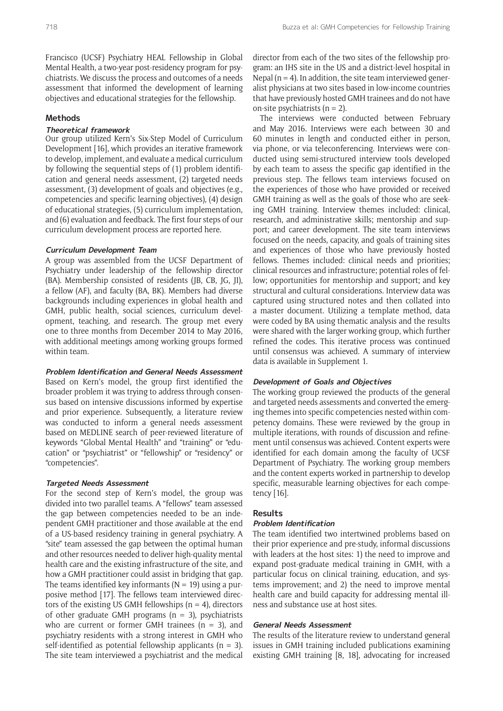Francisco (UCSF) Psychiatry HEAL Fellowship in Global Mental Health, a two-year post-residency program for psychiatrists. We discuss the process and outcomes of a needs assessment that informed the development of learning objectives and educational strategies for the fellowship.

# **Methods**

## **Theoretical framework**

Our group utilized Kern's Six-Step Model of Curriculum Development [16], which provides an iterative framework to develop, implement, and evaluate a medical curriculum by following the sequential steps of (1) problem identification and general needs assessment, (2) targeted needs assessment, (3) development of goals and objectives (e.g., competencies and specific learning objectives), (4) design of educational strategies, (5) curriculum implementation, and (6) evaluation and feedback. The first four steps of our curriculum development process are reported here.

#### **Curriculum Development Team**

A group was assembled from the UCSF Department of Psychiatry under leadership of the fellowship director (BA). Membership consisted of residents (JB, CB, JG, JI), a fellow (AF), and faculty (BA, BK). Members had diverse backgrounds including experiences in global health and GMH, public health, social sciences, curriculum development, teaching, and research. The group met every one to three months from December 2014 to May 2016, with additional meetings among working groups formed within team.

## **Problem Identification and General Needs Assessment**

Based on Kern's model, the group first identified the broader problem it was trying to address through consensus based on intensive discussions informed by expertise and prior experience. Subsequently, a literature review was conducted to inform a general needs assessment based on MEDLINE search of peer-reviewed literature of keywords "Global Mental Health" and "training" or "education" or "psychiatrist" or "fellowship" or "residency" or "competencies".

#### **Targeted Needs Assessment**

For the second step of Kern's model, the group was divided into two parallel teams. A "fellows" team assessed the gap between competencies needed to be an independent GMH practitioner and those available at the end of a US-based residency training in general psychiatry. A "site" team assessed the gap between the optimal human and other resources needed to deliver high-quality mental health care and the existing infrastructure of the site, and how a GMH practitioner could assist in bridging that gap. The teams identified key informants ( $N = 19$ ) using a purposive method [17]. The fellows team interviewed directors of the existing US GMH fellowships  $(n = 4)$ , directors of other graduate GMH programs  $(n = 3)$ , psychiatrists who are current or former GMH trainees ( $n = 3$ ), and psychiatry residents with a strong interest in GMH who self-identified as potential fellowship applicants ( $n = 3$ ). The site team interviewed a psychiatrist and the medical

director from each of the two sites of the fellowship program: an IHS site in the US and a district-level hospital in Nepal ( $n = 4$ ). In addition, the site team interviewed generalist physicians at two sites based in low-income countries that have previously hosted GMH trainees and do not have on-site psychiatrists  $(n = 2)$ .

The interviews were conducted between February and May 2016. Interviews were each between 30 and 60 minutes in length and conducted either in person, via phone, or via teleconferencing. Interviews were conducted using semi-structured interview tools developed by each team to assess the specific gap identified in the previous step. The fellows team interviews focused on the experiences of those who have provided or received GMH training as well as the goals of those who are seeking GMH training. Interview themes included: clinical, research, and administrative skills; mentorship and support; and career development. The site team interviews focused on the needs, capacity, and goals of training sites and experiences of those who have previously hosted fellows. Themes included: clinical needs and priorities; clinical resources and infrastructure; potential roles of fellow; opportunities for mentorship and support; and key structural and cultural considerations. Interview data was captured using structured notes and then collated into a master document. Utilizing a template method, data were coded by BA using thematic analysis and the results were shared with the larger working group, which further refined the codes. This iterative process was continued until consensus was achieved. A summary of interview data is available in Supplement 1.

# **Development of Goals and Objectives**

The working group reviewed the products of the general and targeted needs assessments and converted the emerging themes into specific competencies nested within competency domains. These were reviewed by the group in multiple iterations, with rounds of discussion and refinement until consensus was achieved. Content experts were identified for each domain among the faculty of UCSF Department of Psychiatry. The working group members and the content experts worked in partnership to develop specific, measurable learning objectives for each competency [16].

#### **Results**

# **Problem Identification**

The team identified two intertwined problems based on their prior experience and pre-study, informal discussions with leaders at the host sites: 1) the need to improve and expand post-graduate medical training in GMH, with a particular focus on clinical training, education, and systems improvement; and 2) the need to improve mental health care and build capacity for addressing mental illness and substance use at host sites.

# **General Needs Assessment**

The results of the literature review to understand general issues in GMH training included publications examining existing GMH training [8, 18], advocating for increased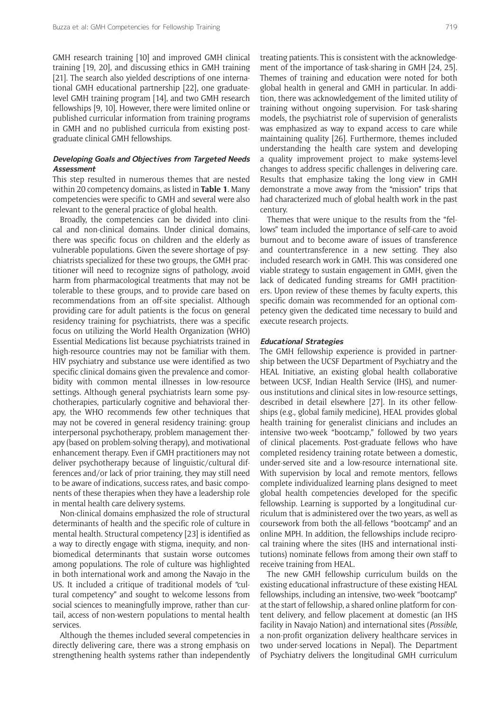GMH research training [10] and improved GMH clinical training [19, 20], and discussing ethics in GMH training [21]. The search also yielded descriptions of one international GMH educational partnership [22], one graduatelevel GMH training program [14], and two GMH research fellowships [9, 10]. However, there were limited online or published curricular information from training programs in GMH and no published curricula from existing postgraduate clinical GMH fellowships.

# **Developing Goals and Objectives from Targeted Needs Assessment**

This step resulted in numerous themes that are nested within 20 competency domains, as listed in **Table 1**. Many competencies were specific to GMH and several were also relevant to the general practice of global health.

Broadly, the competencies can be divided into clinical and non-clinical domains. Under clinical domains, there was specific focus on children and the elderly as vulnerable populations. Given the severe shortage of psychiatrists specialized for these two groups, the GMH practitioner will need to recognize signs of pathology, avoid harm from pharmacological treatments that may not be tolerable to these groups, and to provide care based on recommendations from an off-site specialist. Although providing care for adult patients is the focus on general residency training for psychiatrists, there was a specific focus on utilizing the World Health Organization (WHO) Essential Medications list because psychiatrists trained in high-resource countries may not be familiar with them. HIV psychiatry and substance use were identified as two specific clinical domains given the prevalence and comorbidity with common mental illnesses in low-resource settings. Although general psychiatrists learn some psychotherapies, particularly cognitive and behavioral therapy, the WHO recommends few other techniques that may not be covered in general residency training: group interpersonal psychotherapy, problem management therapy (based on problem-solving therapy), and motivational enhancement therapy. Even if GMH practitioners may not deliver psychotherapy because of linguistic/cultural differences and/or lack of prior training, they may still need to be aware of indications, success rates, and basic components of these therapies when they have a leadership role in mental health care delivery systems.

Non-clinical domains emphasized the role of structural determinants of health and the specific role of culture in mental health. Structural competency [23] is identified as a way to directly engage with stigma, inequity, and nonbiomedical determinants that sustain worse outcomes among populations. The role of culture was highlighted in both international work and among the Navajo in the US. It included a critique of traditional models of "cultural competency" and sought to welcome lessons from social sciences to meaningfully improve, rather than curtail, access of non-western populations to mental health services.

Although the themes included several competencies in directly delivering care, there was a strong emphasis on strengthening health systems rather than independently treating patients. This is consistent with the acknowledgement of the importance of task-sharing in GMH [24, 25]. Themes of training and education were noted for both global health in general and GMH in particular. In addition, there was acknowledgement of the limited utility of training without ongoing supervision. For task-sharing models, the psychiatrist role of supervision of generalists was emphasized as way to expand access to care while maintaining quality [26]. Furthermore, themes included understanding the health care system and developing a quality improvement project to make systems-level changes to address specific challenges in delivering care. Results that emphasize taking the long view in GMH demonstrate a move away from the "mission" trips that had characterized much of global health work in the past century.

Themes that were unique to the results from the "fellows" team included the importance of self-care to avoid burnout and to become aware of issues of transference and countertransference in a new setting. They also included research work in GMH. This was considered one viable strategy to sustain engagement in GMH, given the lack of dedicated funding streams for GMH practitioners. Upon review of these themes by faculty experts, this specific domain was recommended for an optional competency given the dedicated time necessary to build and execute research projects.

#### **Educational Strategies**

The GMH fellowship experience is provided in partnership between the UCSF Department of Psychiatry and the HEAL Initiative, an existing global health collaborative between UCSF, Indian Health Service (IHS), and numerous institutions and clinical sites in low-resource settings, described in detail elsewhere [27]. In its other fellowships (e.g., global family medicine), HEAL provides global health training for generalist clinicians and includes an intensive two-week "bootcamp," followed by two years of clinical placements. Post-graduate fellows who have completed residency training rotate between a domestic, under-served site and a low-resource international site. With supervision by local and remote mentors, fellows complete individualized learning plans designed to meet global health competencies developed for the specific fellowship. Learning is supported by a longitudinal curriculum that is administered over the two years, as well as coursework from both the all-fellows "bootcamp" and an online MPH. In addition, the fellowships include reciprocal training where the sites (IHS and international institutions) nominate fellows from among their own staff to receive training from HEAL.

The new GMH fellowship curriculum builds on the existing educational infrastructure of these existing HEAL fellowships, including an intensive, two-week "bootcamp" at the start of fellowship, a shared online platform for content delivery, and fellow placement at domestic (an IHS facility in Navajo Nation) and international sites (*Possible*, a non-profit organization delivery healthcare services in two under-served locations in Nepal). The Department of Psychiatry delivers the longitudinal GMH curriculum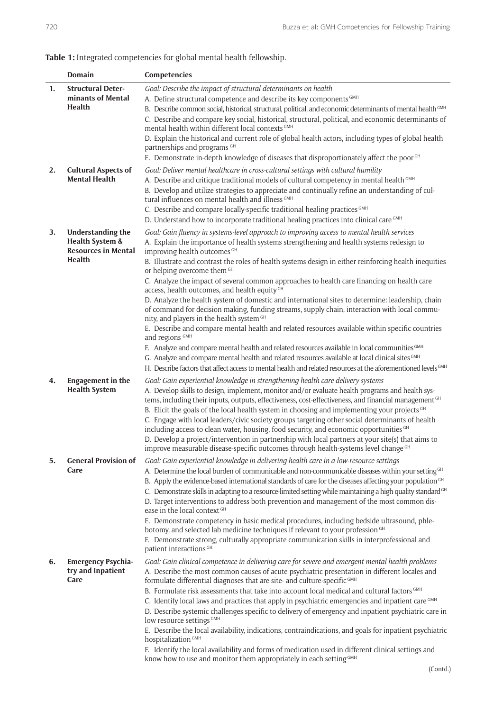# **Table 1:** Integrated competencies for global mental health fellowship.

|    | <b>Domain</b>                                                                              | Competencies                                                                                                                                                                                                                                                                                                                                                                                                                                                                                                                                                                                                                                                                                                                                                                                                                                                                                                                                                                                                                                                                                                                                                                                                           |
|----|--------------------------------------------------------------------------------------------|------------------------------------------------------------------------------------------------------------------------------------------------------------------------------------------------------------------------------------------------------------------------------------------------------------------------------------------------------------------------------------------------------------------------------------------------------------------------------------------------------------------------------------------------------------------------------------------------------------------------------------------------------------------------------------------------------------------------------------------------------------------------------------------------------------------------------------------------------------------------------------------------------------------------------------------------------------------------------------------------------------------------------------------------------------------------------------------------------------------------------------------------------------------------------------------------------------------------|
| 1. | <b>Structural Deter-</b><br>minants of Mental<br>Health                                    | Goal: Describe the impact of structural determinants on health<br>A. Define structural competence and describe its key components GMH<br>B. Describe common social, historical, structural, political, and economic determinants of mental health <sup>GMH</sup><br>C. Describe and compare key social, historical, structural, political, and economic determinants of<br>mental health within different local contexts GMH<br>D. Explain the historical and current role of global health actors, including types of global health<br>partnerships and programs GH                                                                                                                                                                                                                                                                                                                                                                                                                                                                                                                                                                                                                                                   |
|    |                                                                                            | E. Demonstrate in-depth knowledge of diseases that disproportionately affect the poor GH                                                                                                                                                                                                                                                                                                                                                                                                                                                                                                                                                                                                                                                                                                                                                                                                                                                                                                                                                                                                                                                                                                                               |
| 2. | <b>Cultural Aspects of</b><br><b>Mental Health</b>                                         | Goal: Deliver mental healthcare in cross-cultural settings with cultural humility<br>A. Describe and critique traditional models of cultural competency in mental health GMH<br>B. Develop and utilize strategies to appreciate and continually refine an understanding of cul-<br>tural influences on mental health and illness GMH<br>C. Describe and compare locally-specific traditional healing practices GMH<br>D. Understand how to incorporate traditional healing practices into clinical care GMH                                                                                                                                                                                                                                                                                                                                                                                                                                                                                                                                                                                                                                                                                                            |
| 3. | <b>Understanding the</b><br>Health System &<br><b>Resources in Mental</b><br><b>Health</b> | Goal: Gain fluency in systems-level approach to improving access to mental health services<br>A. Explain the importance of health systems strengthening and health systems redesign to<br>improving health outcomes GH<br>B. Illustrate and contrast the roles of health systems design in either reinforcing health inequities<br>or helping overcome them GH<br>C. Analyze the impact of several common approaches to health care financing on health care<br>access, health outcomes, and health equity <sup>GH</sup><br>D. Analyze the health system of domestic and international sites to determine: leadership, chain<br>of command for decision making, funding streams, supply chain, interaction with local commu-<br>nity, and players in the health system GH<br>E. Describe and compare mental health and related resources available within specific countries<br>and regions GMH<br>F. Analyze and compare mental health and related resources available in local communities GMH<br>G. Analyze and compare mental health and related resources available at local clinical sites GMH<br>H. Describe factors that affect access to mental health and related resources at the aforementioned levels CMH |
| 4. | Engagement in the<br><b>Health System</b>                                                  | Goal: Gain experiential knowledge in strengthening health care delivery systems<br>A. Develop skills to design, implement, monitor and/or evaluate health programs and health sys-<br>tems, including their inputs, outputs, effectiveness, cost-effectiveness, and financial management CH<br>B. Elicit the goals of the local health system in choosing and implementing your projects <sup>GH</sup><br>C. Engage with local leaders/civic society groups targeting other social determinants of health<br>including access to clean water, housing, food security, and economic opportunities GH<br>D. Develop a project/intervention in partnership with local partners at your site(s) that aims to<br>improve measurable disease-specific outcomes through health-systems level change GH                                                                                                                                                                                                                                                                                                                                                                                                                        |
| 5. | <b>General Provision of</b><br>Care                                                        | Goal: Gain experiential knowledge in delivering health care in a low-resource settings<br>A. Determine the local burden of communicable and non-communicable diseases within your setting <sup>GH</sup><br>B. Apply the evidence-based international standards of care for the diseases affecting your population <sup>CH</sup><br>C. Demonstrate skills in adapting to a resource-limited setting while maintaining a high quality standard <sup>GH</sup><br>D. Target interventions to address both prevention and management of the most common dis-<br>ease in the local context GH<br>E. Demonstrate competency in basic medical procedures, including bedside ultrasound, phle-<br>botomy, and selected lab medicine techniques if relevant to your profession GH<br>F. Demonstrate strong, culturally appropriate communication skills in interprofessional and<br>patient interactions <sup>GH</sup>                                                                                                                                                                                                                                                                                                           |
| 6. | <b>Emergency Psychia-</b><br>try and Inpatient<br>Care                                     | Goal: Gain clinical competence in delivering care for severe and emergent mental health problems<br>A. Describe the most common causes of acute psychiatric presentation in different locales and<br>formulate differential diagnoses that are site- and culture-specific GMH<br>B. Formulate risk assessments that take into account local medical and cultural factors GMH<br>C. Identify local laws and practices that apply in psychiatric emergencies and inpatient care GMH<br>D. Describe systemic challenges specific to delivery of emergency and inpatient psychiatric care in<br>low resource settings GMH<br>E. Describe the local availability, indications, contraindications, and goals for inpatient psychiatric<br>hospitalization <sup>GMH</sup><br>F. Identify the local availability and forms of medication used in different clinical settings and<br>know how to use and monitor them appropriately in each setting GMH                                                                                                                                                                                                                                                                         |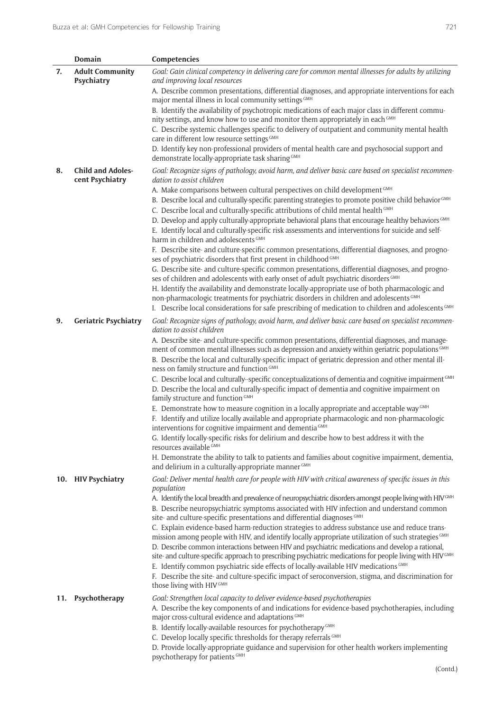|     | <b>Domain</b>                               | Competencies                                                                                                                                                                                                                                                                                                                                                                                                                                                                                                                                                                                                                                                           |
|-----|---------------------------------------------|------------------------------------------------------------------------------------------------------------------------------------------------------------------------------------------------------------------------------------------------------------------------------------------------------------------------------------------------------------------------------------------------------------------------------------------------------------------------------------------------------------------------------------------------------------------------------------------------------------------------------------------------------------------------|
| 7.  | <b>Adult Community</b><br>Psychiatry        | Goal: Gain clinical competency in delivering care for common mental illnesses for adults by utilizing<br>and improving local resources                                                                                                                                                                                                                                                                                                                                                                                                                                                                                                                                 |
|     |                                             | A. Describe common presentations, differential diagnoses, and appropriate interventions for each<br>major mental illness in local community settings GMH<br>B. Identify the availability of psychotropic medications of each major class in different commu-<br>nity settings, and know how to use and monitor them appropriately in each GMH                                                                                                                                                                                                                                                                                                                          |
|     |                                             | C. Describe systemic challenges specific to delivery of outpatient and community mental health<br>care in different low resource settings GMH                                                                                                                                                                                                                                                                                                                                                                                                                                                                                                                          |
|     |                                             | D. Identify key non-professional providers of mental health care and psychosocial support and<br>demonstrate locally-appropriate task sharing GMH                                                                                                                                                                                                                                                                                                                                                                                                                                                                                                                      |
| 8.  | <b>Child and Adoles-</b><br>cent Psychiatry | Goal: Recognize signs of pathology, avoid harm, and deliver basic care based on specialist recommen-<br>dation to assist children                                                                                                                                                                                                                                                                                                                                                                                                                                                                                                                                      |
|     |                                             | A. Make comparisons between cultural perspectives on child development GMH<br>B. Describe local and culturally-specific parenting strategies to promote positive child behavior <sup>GMH</sup><br>C. Describe local and culturally-specific attributions of child mental health GMH                                                                                                                                                                                                                                                                                                                                                                                    |
|     |                                             | D. Develop and apply culturally-appropriate behavioral plans that encourage healthy behaviors CMH<br>E. Identify local and culturally-specific risk assessments and interventions for suicide and self-<br>harm in children and adolescents GMH                                                                                                                                                                                                                                                                                                                                                                                                                        |
|     |                                             | F. Describe site- and culture-specific common presentations, differential diagnoses, and progno-<br>ses of psychiatric disorders that first present in childhood GMH                                                                                                                                                                                                                                                                                                                                                                                                                                                                                                   |
|     |                                             | G. Describe site- and culture-specific common presentations, differential diagnoses, and progno-<br>ses of children and adolescents with early onset of adult psychiatric disorders GMH<br>H. Identify the availability and demonstrate locally-appropriate use of both pharmacologic and                                                                                                                                                                                                                                                                                                                                                                              |
|     |                                             | non-pharmacologic treatments for psychiatric disorders in children and adolescents GMH<br>I. Describe local considerations for safe prescribing of medication to children and adolescents CMH                                                                                                                                                                                                                                                                                                                                                                                                                                                                          |
| 9.  | <b>Geriatric Psychiatry</b>                 | Goal: Recognize signs of pathology, avoid harm, and deliver basic care based on specialist recommen-<br>dation to assist children                                                                                                                                                                                                                                                                                                                                                                                                                                                                                                                                      |
|     |                                             | A. Describe site- and culture-specific common presentations, differential diagnoses, and manage-<br>ment of common mental illnesses such as depression and anxiety within geriatric populations GMH<br>B. Describe the local and culturally-specific impact of geriatric depression and other mental ill-<br>ness on family structure and function GMH                                                                                                                                                                                                                                                                                                                 |
|     |                                             | C. Describe local and culturally-specific conceptualizations of dementia and cognitive impairment GMH<br>D. Describe the local and culturally-specific impact of dementia and cognitive impairment on<br>family structure and function GMH                                                                                                                                                                                                                                                                                                                                                                                                                             |
|     |                                             | E. Demonstrate how to measure cognition in a locally appropriate and acceptable way <sup>GMH</sup><br>F. Identify and utilize locally available and appropriate pharmacologic and non-pharmacologic<br>interventions for cognitive impairment and dementia <sup>GMH</sup>                                                                                                                                                                                                                                                                                                                                                                                              |
|     |                                             | G. Identify locally-specific risks for delirium and describe how to best address it with the<br>resources available GMH<br>H. Demonstrate the ability to talk to patients and families about cognitive impairment, dementia,                                                                                                                                                                                                                                                                                                                                                                                                                                           |
|     |                                             | and delirium in a culturally-appropriate manner <sup>GMH</sup><br>Goal: Deliver mental health care for people with HIV with critical awareness of specific issues in this                                                                                                                                                                                                                                                                                                                                                                                                                                                                                              |
| 10. | <b>HIV Psychiatry</b>                       | population<br>A. Identify the local breadth and prevalence of neuropsychiatric disorders amongst people living with HIV <sup>GMH</sup><br>B. Describe neuropsychiatric symptoms associated with HIV infection and understand common<br>site- and culture-specific presentations and differential diagnoses GMH                                                                                                                                                                                                                                                                                                                                                         |
|     |                                             | C. Explain evidence-based harm-reduction strategies to address substance use and reduce trans-<br>mission among people with HIV, and identify locally appropriate utilization of such strategies CMH<br>D. Describe common interactions between HIV and psychiatric medications and develop a rational,<br>site- and culture-specific approach to prescribing psychiatric medications for people living with HIV <sup>CMH</sup><br>E. Identify common psychiatric side effects of locally-available HIV medications GMH<br>F. Describe the site- and culture-specific impact of seroconversion, stigma, and discrimination for<br>those living with HIV <sup>GMH</sup> |
| 11. | Psychotherapy                               | Goal: Strengthen local capacity to deliver evidence-based psychotherapies<br>A. Describe the key components of and indications for evidence-based psychotherapies, including<br>major cross-cultural evidence and adaptations GMH<br>B. Identify locally-available resources for psychotherapy <sup>GMH</sup><br>C. Develop locally specific thresholds for therapy referrals GMH<br>D. Provide locally-appropriate guidance and supervision for other health workers implementing<br>psychotherapy for patients GMH                                                                                                                                                   |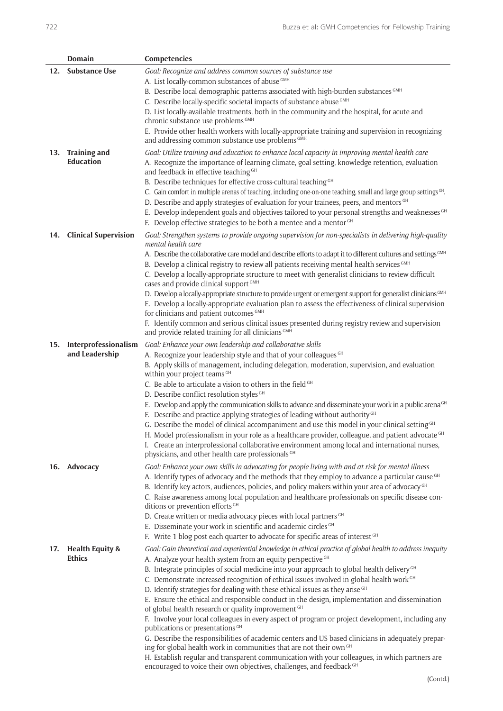|     | Domain                                     | Competencies                                                                                                                                                                                                                                                                                                                                                                                                                                                                                                                                                                                                                                                                                                                                                                                                                                                                                                                                                                                                                                                                                                             |
|-----|--------------------------------------------|--------------------------------------------------------------------------------------------------------------------------------------------------------------------------------------------------------------------------------------------------------------------------------------------------------------------------------------------------------------------------------------------------------------------------------------------------------------------------------------------------------------------------------------------------------------------------------------------------------------------------------------------------------------------------------------------------------------------------------------------------------------------------------------------------------------------------------------------------------------------------------------------------------------------------------------------------------------------------------------------------------------------------------------------------------------------------------------------------------------------------|
| 12. | Substance Use                              | Goal: Recognize and address common sources of substance use<br>A. List locally-common substances of abuse GMH<br>B. Describe local demographic patterns associated with high-burden substances GMH<br>C. Describe locally-specific societal impacts of substance abuse GMH<br>D. List locally-available treatments, both in the community and the hospital, for acute and<br>chronic substance use problems GMH<br>E. Provide other health workers with locally-appropriate training and supervision in recognizing                                                                                                                                                                                                                                                                                                                                                                                                                                                                                                                                                                                                      |
|     | 13. Training and<br><b>Education</b>       | and addressing common substance use problems GMH<br>Goal: Utilize training and education to enhance local capacity in improving mental health care<br>A. Recognize the importance of learning climate, goal setting, knowledge retention, evaluation<br>and feedback in effective teaching GH<br>B. Describe techniques for effective cross-cultural teaching <sup>GH</sup><br>C. Gain comfort in multiple arenas of teaching, including one-on-one teaching, small and large group settings GH.<br>D. Describe and apply strategies of evaluation for your trainees, peers, and mentors GH<br>E. Develop independent goals and objectives tailored to your personal strengths and weaknesses GH<br>F. Develop effective strategies to be both a mentee and a mentor GH                                                                                                                                                                                                                                                                                                                                                  |
|     | 14. Clinical Supervision                   | Goal: Strengthen systems to provide ongoing supervision for non-specialists in delivering high-quality<br>mental health care<br>A. Describe the collaborative care model and describe efforts to adapt it to different cultures and settings CMH<br>B. Develop a clinical registry to review all patients receiving mental health services GMH<br>C. Develop a locally-appropriate structure to meet with generalist clinicians to review difficult<br>cases and provide clinical support GMH<br>D. Develop a locally-appropriate structure to provide urgent or emergent support for generalist clinicians <sup>CMH</sup><br>E. Develop a locally-appropriate evaluation plan to assess the effectiveness of clinical supervision<br>for clinicians and patient outcomes GMH<br>F. Identify common and serious clinical issues presented during registry review and supervision<br>and provide related training for all clinicians CMH                                                                                                                                                                                  |
|     | 15. Interprofessionalism<br>and Leadership | Goal: Enhance your own leadership and collaborative skills<br>A. Recognize your leadership style and that of your colleagues GH<br>B. Apply skills of management, including delegation, moderation, supervision, and evaluation<br>within your project teams GH<br>C. Be able to articulate a vision to others in the field GH<br>D. Describe conflict resolution styles GH<br>E. Develop and apply the communication skills to advance and disseminate your work in a public arena <sup>GH</sup><br>F. Describe and practice applying strategies of leading without authority <sup>GH</sup><br>G. Describe the model of clinical accompaniment and use this model in your clinical setting <sup>GH</sup><br>H. Model professionalism in your role as a healthcare provider, colleague, and patient advocate GH<br>I. Create an interprofessional collaborative environment among local and international nurses,<br>physicians, and other health care professionals GH                                                                                                                                                  |
|     | 16. Advocacy                               | Goal: Enhance your own skills in advocating for people living with and at risk for mental illness<br>A. Identify types of advocacy and the methods that they employ to advance a particular cause GH<br>B. Identify key actors, audiences, policies, and policy makers within your area of advocacy <sup>GH</sup><br>C. Raise awareness among local population and healthcare professionals on specific disease con-<br>ditions or prevention efforts GH<br>D. Create written or media advocacy pieces with local partners GH<br>E. Disseminate your work in scientific and academic circles GH<br>F. Write 1 blog post each quarter to advocate for specific areas of interest GH                                                                                                                                                                                                                                                                                                                                                                                                                                       |
|     | 17. Health Equity &<br><b>Ethics</b>       | Goal: Gain theoretical and experiential knowledge in ethical practice of global health to address inequity<br>A. Analyze your health system from an equity perspective GH<br>B. Integrate principles of social medicine into your approach to global health delivery <sup>GH</sup><br>C. Demonstrate increased recognition of ethical issues involved in global health work GH<br>D. Identify strategies for dealing with these ethical issues as they arise GH<br>E. Ensure the ethical and responsible conduct in the design, implementation and dissemination<br>of global health research or quality improvement GH<br>F. Involve your local colleagues in every aspect of program or project development, including any<br>publications or presentations GH<br>G. Describe the responsibilities of academic centers and US based clinicians in adequately prepar-<br>ing for global health work in communities that are not their own GH<br>H. Establish regular and transparent communication with your colleagues, in which partners are<br>encouraged to voice their own objectives, challenges, and feedback GH |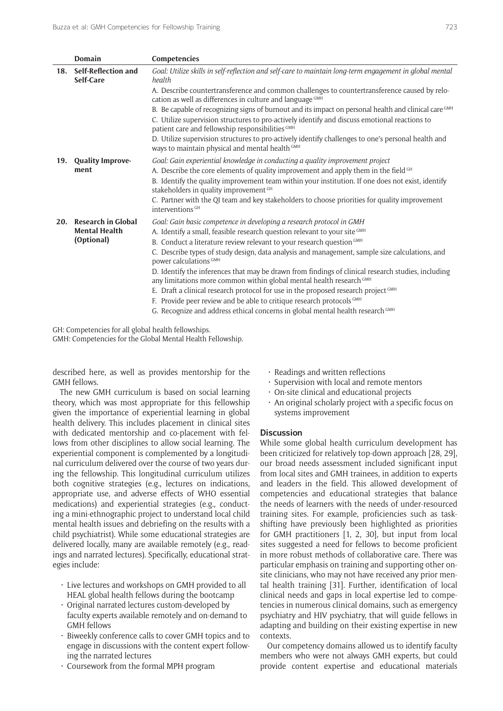|     | Domain                           | Competencies                                                                                                                                                                                                                                                          |
|-----|----------------------------------|-----------------------------------------------------------------------------------------------------------------------------------------------------------------------------------------------------------------------------------------------------------------------|
| 18. | Self-Reflection and<br>Self-Care | Goal: Utilize skills in self-reflection and self-care to maintain long-term engagement in global mental<br>health                                                                                                                                                     |
|     |                                  | A. Describe countertransference and common challenges to countertransference caused by relo-<br>cation as well as differences in culture and language GMH                                                                                                             |
|     |                                  | B. Be capable of recognizing signs of burnout and its impact on personal health and clinical care <sup>GMH</sup><br>C. Utilize supervision structures to pro-actively identify and discuss emotional reactions to<br>patient care and fellowship responsibilities GMH |
|     |                                  | D. Utilize supervision structures to pro-actively identify challenges to one's personal health and<br>Ways to maintain physical and mental health GMH                                                                                                                 |
| 19. | <b>Quality Improve-</b><br>ment  | Goal: Gain experiential knowledge in conducting a quality improvement project                                                                                                                                                                                         |
|     |                                  | A. Describe the core elements of quality improvement and apply them in the field GH<br>B. Identify the quality improvement team within your institution. If one does not exist, identify<br>stakeholders in quality improvement GH                                    |
|     |                                  | C. Partner with the QI team and key stakeholders to choose priorities for quality improvement<br>interventions <sup>GH</sup>                                                                                                                                          |
| 20. | <b>Research in Global</b>        | Goal: Gain basic competence in developing a research protocol in GMH                                                                                                                                                                                                  |
|     | <b>Mental Health</b>             | A. Identify a small, feasible research question relevant to your site GMH                                                                                                                                                                                             |
|     | (Optional)                       | B. Conduct a literature review relevant to your research question GMH                                                                                                                                                                                                 |
|     |                                  | C. Describe types of study design, data analysis and management, sample size calculations, and<br>power calculations <sup>GMH</sup>                                                                                                                                   |
|     |                                  | D. Identify the inferences that may be drawn from findings of clinical research studies, including<br>any limitations more common within global mental health research GMH<br>E. Draft a clinical research protocol for use in the proposed research project GMH      |
|     |                                  | F. Provide peer review and be able to critique research protocols GMH                                                                                                                                                                                                 |
|     |                                  | G. Recognize and address ethical concerns in global mental health research GMH                                                                                                                                                                                        |

GH: Competencies for all global health fellowships. GMH: Competencies for the Global Mental Health Fellowship.

described here, as well as provides mentorship for the GMH fellows.

The new GMH curriculum is based on social learning theory, which was most appropriate for this fellowship given the importance of experiential learning in global health delivery. This includes placement in clinical sites with dedicated mentorship and co-placement with fellows from other disciplines to allow social learning. The experiential component is complemented by a longitudinal curriculum delivered over the course of two years during the fellowship. This longitudinal curriculum utilizes both cognitive strategies (e.g., lectures on indications, appropriate use, and adverse effects of WHO essential medications) and experiential strategies (e.g., conducting a mini-ethnographic project to understand local child mental health issues and debriefing on the results with a child psychiatrist). While some educational strategies are delivered locally, many are available remotely (e.g., readings and narrated lectures). Specifically, educational strategies include:

- • Live lectures and workshops on GMH provided to all HEAL global health fellows during the bootcamp
- • Original narrated lectures custom-developed by faculty experts available remotely and on-demand to GMH fellows
- • Biweekly conference calls to cover GMH topics and to engage in discussions with the content expert following the narrated lectures
- • Coursework from the formal MPH program
- $\cdot$  Readings and written reflections
- • Supervision with local and remote mentors
- $\cdot$  On-site clinical and educational projects
- $\cdot$  An original scholarly project with a specific focus on systems improvement

## **Discussion**

While some global health curriculum development has been criticized for relatively top-down approach [28, 29], our broad needs assessment included significant input from local sites and GMH trainees, in addition to experts and leaders in the field. This allowed development of competencies and educational strategies that balance the needs of learners with the needs of under-resourced training sites. For example, proficiencies such as taskshifting have previously been highlighted as priorities for GMH practitioners [1, 2, 30], but input from local sites suggested a need for fellows to become proficient in more robust methods of collaborative care. There was particular emphasis on training and supporting other onsite clinicians, who may not have received any prior mental health training [31]. Further, identification of local clinical needs and gaps in local expertise led to competencies in numerous clinical domains, such as emergency psychiatry and HIV psychiatry, that will guide fellows in adapting and building on their existing expertise in new contexts.

Our competency domains allowed us to identify faculty members who were not always GMH experts, but could provide content expertise and educational materials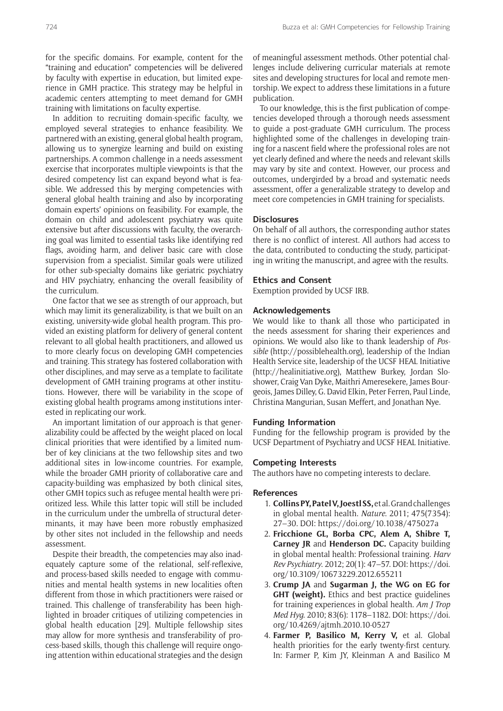for the specific domains. For example, content for the "training and education" competencies will be delivered by faculty with expertise in education, but limited experience in GMH practice. This strategy may be helpful in academic centers attempting to meet demand for GMH training with limitations on faculty expertise.

In addition to recruiting domain-specific faculty, we employed several strategies to enhance feasibility. We partnered with an existing, general global health program, allowing us to synergize learning and build on existing partnerships. A common challenge in a needs assessment exercise that incorporates multiple viewpoints is that the desired competency list can expand beyond what is feasible. We addressed this by merging competencies with general global health training and also by incorporating domain experts' opinions on feasibility. For example, the domain on child and adolescent psychiatry was quite extensive but after discussions with faculty, the overarching goal was limited to essential tasks like identifying red flags, avoiding harm, and deliver basic care with close supervision from a specialist. Similar goals were utilized for other sub-specialty domains like geriatric psychiatry and HIV psychiatry, enhancing the overall feasibility of the curriculum.

One factor that we see as strength of our approach, but which may limit its generalizability, is that we built on an existing, university-wide global health program. This provided an existing platform for delivery of general content relevant to all global health practitioners, and allowed us to more clearly focus on developing GMH competencies and training. This strategy has fostered collaboration with other disciplines, and may serve as a template to facilitate development of GMH training programs at other institutions. However, there will be variability in the scope of existing global health programs among institutions interested in replicating our work.

An important limitation of our approach is that generalizability could be affected by the weight placed on local clinical priorities that were identified by a limited number of key clinicians at the two fellowship sites and two additional sites in low-income countries. For example, while the broader GMH priority of collaborative care and capacity-building was emphasized by both clinical sites, other GMH topics such as refugee mental health were prioritized less. While this latter topic will still be included in the curriculum under the umbrella of structural determinants, it may have been more robustly emphasized by other sites not included in the fellowship and needs assessment.

Despite their breadth, the competencies may also inadequately capture some of the relational, self-reflexive, and process-based skills needed to engage with communities and mental health systems in new localities often different from those in which practitioners were raised or trained. This challenge of transferability has been highlighted in broader critiques of utilizing competencies in global health education [29]. Multiple fellowship sites may allow for more synthesis and transferability of process-based skills, though this challenge will require ongoing attention within educational strategies and the design

of meaningful assessment methods. Other potential challenges include delivering curricular materials at remote sites and developing structures for local and remote mentorship. We expect to address these limitations in a future publication.

To our knowledge, this is the first publication of competencies developed through a thorough needs assessment to guide a post-graduate GMH curriculum. The process highlighted some of the challenges in developing training for a nascent field where the professional roles are not yet clearly defined and where the needs and relevant skills may vary by site and context. However, our process and outcomes, undergirded by a broad and systematic needs assessment, offer a generalizable strategy to develop and meet core competencies in GMH training for specialists.

# **Disclosures**

On behalf of all authors, the corresponding author states there is no conflict of interest. All authors had access to the data, contributed to conducting the study, participating in writing the manuscript, and agree with the results.

#### **Ethics and Consent**

Exemption provided by UCSF IRB.

#### **Acknowledgements**

We would like to thank all those who participated in the needs assessment for sharing their experiences and opinions. We would also like to thank leadership of *Possible* [\(http://possiblehealth.org](http://possiblehealth.org)), leadership of the Indian Health Service site, leadership of the UCSF HEAL Initiative [\(http://healinitiative.org](http://healinitiative.org)), Matthew Burkey, Jordan Sloshower, Craig Van Dyke, Maithri Ameresekere, James Bourgeois, James Dilley, G. David Elkin, Peter Ferren, Paul Linde, Christina Mangurian, Susan Meffert, and Jonathan Nye.

# **Funding Information**

Funding for the fellowship program is provided by the UCSF Department of Psychiatry and UCSF HEAL Initiative.

# **Competing Interests**

The authors have no competing interests to declare.

### **References**

- 1. **Collins PY, Patel V, Joestl SS,** et al. Grand challenges in global mental health. *Nature*. 2011; 475(7354): 27–30. DOI:<https://doi.org/10.1038/475027a>
- 2. **Fricchione GL, Borba CPC, Alem A, Shibre T, Carney JR** and **Henderson DC.** Capacity building in global mental health: Professional training. *Harv Rev Psychiatry*. 2012; 20(1): 47–57. DOI: [https://doi.](https://doi.org/10.3109/10673229.2012.655211) [org/10.3109/10673229.2012.655211](https://doi.org/10.3109/10673229.2012.655211)
- 3. **Crump JA** and **Sugarman J, the WG on EG for GHT (weight).** Ethics and best practice guidelines for training experiences in global health. *Am J Trop Med Hyg*. 2010; 83(6): 1178–1182. DOI: [https://doi.](https://doi.org/10.4269/ajtmh.2010.10-0527) [org/10.4269/ajtmh.2010.10-0527](https://doi.org/10.4269/ajtmh.2010.10-0527)
- 4. **Farmer P, Basilico M, Kerry V,** et al. Global health priorities for the early twenty-first century. In: Farmer P, Kim JY, Kleinman A and Basilico M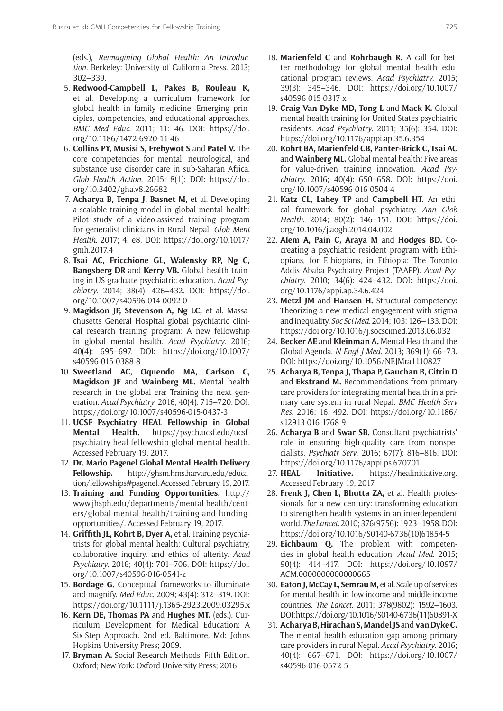(eds.), *Reimagining Global Health: An Introduction*. Berkeley: University of California Press. 2013; 302–339.

- 5. **Redwood-Campbell L, Pakes B, Rouleau K,** et al. Developing a curriculum framework for global health in family medicine: Emerging principles, competencies, and educational approaches. *BMC Med Educ*. 2011; 11: 46. DOI: [https://doi.](https://doi.org/10.1186/1472-6920-11-46) [org/10.1186/1472-6920-11-46](https://doi.org/10.1186/1472-6920-11-46)
- 6. **Collins PY, Musisi S, Frehywot S** and **Patel V.** The core competencies for mental, neurological, and substance use disorder care in sub-Saharan Africa. *Glob Health Action*. 2015; 8(1): DOI: [https://doi.](https://doi.org/10.3402/gha.v8.26682) [org/10.3402/gha.v8.26682](https://doi.org/10.3402/gha.v8.26682)
- 7. **Acharya B, Tenpa J, Basnet M,** et al. Developing a scalable training model in global mental health: Pilot study of a video-assisted training program for generalist clinicians in Rural Nepal. *Glob Ment Health*. 2017; 4: e8. DOI: [https://doi.org/10.1017/](https://doi.org/10.1017/gmh.2017.4) [gmh.2017.4](https://doi.org/10.1017/gmh.2017.4)
- 8. **Tsai AC, Fricchione GL, Walensky RP, Ng C, Bangsberg DR** and **Kerry VB.** Global health training in US graduate psychiatric education. *Acad Psychiatry*. 2014; 38(4): 426–432. DOI: [https://doi.](https://doi.org/10.1007/s40596-014-0092-0) [org/10.1007/s40596-014-0092-0](https://doi.org/10.1007/s40596-014-0092-0)
- 9. **Magidson JF, Stevenson A, Ng LC,** et al. Massachusetts General Hospital global psychiatric clinical research training program: A new fellowship in global mental health. *Acad Psychiatry*. 2016; 40(4): 695–697. DOI: [https://doi.org/10.1007/](https://doi.org/10.1007/s40596-015-0388-8) [s40596-015-0388-8](https://doi.org/10.1007/s40596-015-0388-8)
- 10. **Sweetland AC, Oquendo MA, Carlson C, Magidson JF** and **Wainberg ML.** Mental health research in the global era: Training the next generation. *Acad Psychiatry*. 2016; 40(4): 715–720. DOI: <https://doi.org/10.1007/s40596-015-0437-3>
- 11. **UCSF Psychiatry HEAL Fellowship in Global Mental Health.** [https://psych.ucsf.edu/ucsf](https://psych.ucsf.edu/ucsf-psychiatry-heal-fellowship-global-mental-health)[psychiatry-heal-fellowship-global-mental-health.](https://psych.ucsf.edu/ucsf-psychiatry-heal-fellowship-global-mental-health) Accessed February 19, 2017.
- 12. **Dr. Mario Pagenel Global Mental Health Delivery Fellowship.** [http://ghsm.hms.harvard.edu/educa](http://ghsm.hms.harvard.edu/education/fellowships#pagenel)[tion/fellowships#pagenel](http://ghsm.hms.harvard.edu/education/fellowships#pagenel). Accessed February 19, 2017.
- 13. **Training and Funding Opportunities.** [http://](http://www.jhsph.edu/departments/mental-health/centers/global-mental-health/training-and-funding-opportunities/) [www.jhsph.edu/departments/mental-health/cent](http://www.jhsph.edu/departments/mental-health/centers/global-mental-health/training-and-funding-opportunities/)[ers/global-mental-health/training-and-funding](http://www.jhsph.edu/departments/mental-health/centers/global-mental-health/training-and-funding-opportunities/)[opportunities/.](http://www.jhsph.edu/departments/mental-health/centers/global-mental-health/training-and-funding-opportunities/) Accessed February 19, 2017.
- 14. **Griffith JL, Kohrt B, Dyer A,** et al. Training psychiatrists for global mental health: Cultural psychiatry, collaborative inquiry, and ethics of alterity. *Acad Psychiatry*. 2016; 40(4): 701–706. DOI: [https://doi.](https://doi.org/10.1007/s40596-016-0541-z) [org/10.1007/s40596-016-0541-z](https://doi.org/10.1007/s40596-016-0541-z)
- 15. **Bordage G.** Conceptual frameworks to illuminate and magnify. *Med Educ*. 2009; 43(4): 312–319. DOI: <https://doi.org/10.1111/j.1365-2923.2009.03295.x>
- 16. **Kern DE, Thomas PA** and **Hughes MT.** (eds.). Curriculum Development for Medical Education: A Six-Step Approach. 2nd ed. Baltimore, Md: Johns Hopkins University Press; 2009.
- 17. **Bryman A.** Social Research Methods. Fifth Edition. Oxford; New York: Oxford University Press; 2016.
- 18. **Marienfeld C** and **Rohrbaugh R.** A call for better methodology for global mental health educational program reviews. *Acad Psychiatry*. 2015; 39(3): 345–346. DOI: [https://doi.org/10.1007/](https://doi.org/10.1007/s40596-015-0317-x) [s40596-015-0317-x](https://doi.org/10.1007/s40596-015-0317-x)
- 19. **Craig Van Dyke MD, Tong L** and **Mack K.** Global mental health training for United States psychiatric residents. *Acad Psychiatry*. 2011; 35(6): 354. DOI: <https://doi.org/10.1176/appi.ap.35.6.354>
- 20. **Kohrt BA, Marienfeld CB, Panter-Brick C, Tsai AC**  and **Wainberg ML.** Global mental health: Five areas for value-driven training innovation. *Acad Psychiatry*. 2016; 40(4): 650–658. DOI: [https://doi.](https://doi.org/10.1007/s40596-016-0504-4) [org/10.1007/s40596-016-0504-4](https://doi.org/10.1007/s40596-016-0504-4)
- 21. **Katz CL, Lahey TP** and **Campbell HT.** An ethical framework for global psychiatry. *Ann Glob Health*. 2014; 80(2): 146–151. DOI: [https://doi.](https://doi.org/10.1016/j.aogh.2014.04.002) [org/10.1016/j.aogh.2014.04.002](https://doi.org/10.1016/j.aogh.2014.04.002)
- 22. **Alem A, Pain C, Araya M** and **Hodges BD.** Cocreating a psychiatric resident program with Ethiopians, for Ethiopians, in Ethiopia: The Toronto Addis Ababa Psychiatry Project (TAAPP). *Acad Psychiatry*. 2010; 34(6): 424–432. DOI: [https://doi.](https://doi.org/10.1176/appi.ap.34.6.424) [org/10.1176/appi.ap.34.6.424](https://doi.org/10.1176/appi.ap.34.6.424)
- 23. **Metzl JM** and **Hansen H.** Structural competency: Theorizing a new medical engagement with stigma and inequality. *Soc Sci Med*. 2014; 103: 126–133. DOI: <https://doi.org/10.1016/j.socscimed.2013.06.032>
- 24. **Becker AE** and **Kleinman A.** Mental Health and the Global Agenda. *N Engl J Med*. 2013; 369(1): 66–73. DOI: <https://doi.org/10.1056/NEJMra1110827>
- 25. **Acharya B, Tenpa J, Thapa P, Gauchan B, Citrin D**  and **Ekstrand M.** Recommendations from primary care providers for integrating mental health in a primary care system in rural Nepal. *BMC Health Serv Res*. 2016; 16: 492. DOI: [https://doi.org/10.1186/](https://doi.org/10.1186/s12913-016-1768-9) [s12913-016-1768-9](https://doi.org/10.1186/s12913-016-1768-9)
- 26. **Acharya B** and **Swar SB.** Consultant psychiatrists' role in ensuring high-quality care from nonspecialists. *Psychiatr Serv*. 2016; 67(7): 816–816. DOI: <https://doi.org/10.1176/appi.ps.670701>
- 27. **HEAL Initiative.** <https://healinitiative.org>. Accessed February 19, 2017.
- 28. **Frenk J, Chen L, Bhutta ZA,** et al. Health professionals for a new century: transforming education to strengthen health systems in an interdependent world. *The Lancet*. 2010; 376(9756): 1923–1958. DOI: [https://doi.org/10.1016/S0140-6736\(10\)61854-5](https://doi.org/10.1016/S0140-6736(10)61854-5)
- 29. **Eichbaum Q.** The problem with competencies in global health education. *Acad Med*. 2015; 90(4): 414–417. DOI: [https://doi.org/10.1097/](https://doi.org/10.1097/ACM.0000000000000665) [ACM.0000000000000665](https://doi.org/10.1097/ACM.0000000000000665)
- 30. **Eaton J, McCay L, Semrau M,** et al. Scale up of services for mental health in low-income and middle-income countries. *The Lancet*. 2011; 378(9802): 1592–1603. DOI: [https://doi.org/10.1016/S0140-6736\(11\)60891-X](https://doi.org/10.1016/S0140-6736(11)60891-X)
- 31. **Acharya B, Hirachan S, Mandel JS** and **van Dyke C.**  The mental health education gap among primary care providers in rural Nepal. *Acad Psychiatry*. 2016; 40(4): 667–671. DOI: [https://doi.org/10.1007/](https://doi.org/10.1007/s40596-016-0572-5) [s40596-016-0572-5](https://doi.org/10.1007/s40596-016-0572-5)